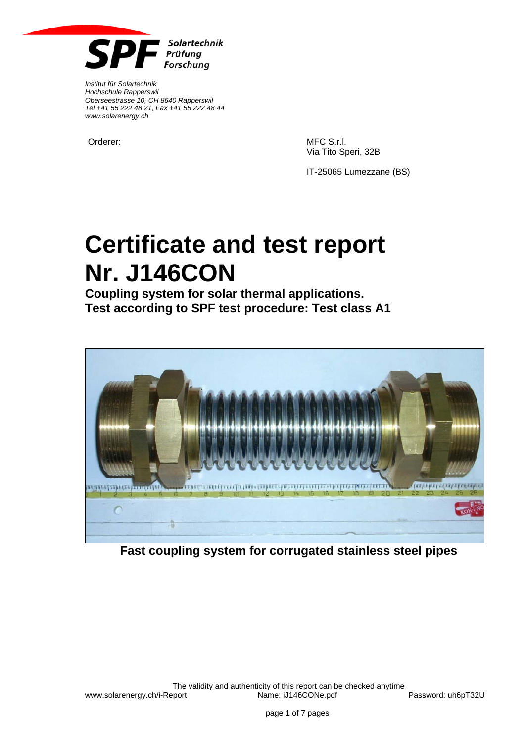

*Institut für Solartechnik Hochschule Rapperswil Oberseestrasse 10, CH 8640 Rapperswil Tel +41 55 222 48 21, Fax +41 55 222 48 44 www.solarenergy.ch*

Orderer: MFC S.r.l. Via Tito Speri, 32B

IT-25065 Lumezzane (BS)

# **Certificate and test report Nr. J146CON**

**Coupling system for solar thermal applications. Test according to SPF test procedure: Test class A1** 



**Fast coupling system for corrugated stainless steel pipes**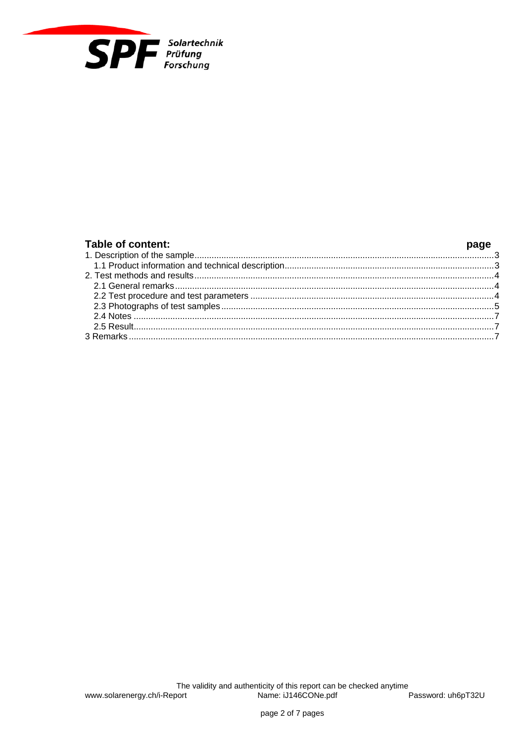

| Table of content: |  |
|-------------------|--|
|                   |  |
|                   |  |
|                   |  |
|                   |  |
|                   |  |
|                   |  |
|                   |  |
|                   |  |
|                   |  |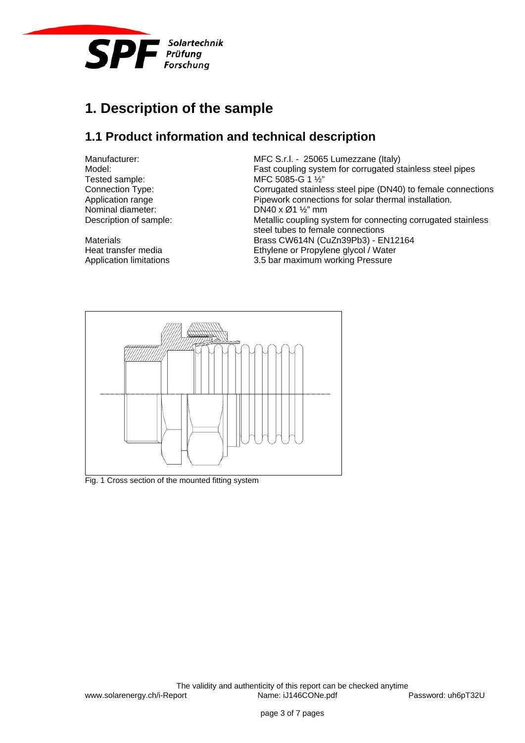

# **1. Description of the sample**

### **1.1 Product information and technical description**

Manufacturer: MEC S.r.l. - 25065 Lumezzane (Italy)<br>Model: Model: East coupling system for corrugated some Fast coupling system for corrugated stainless steel pipes Tested sample: MFC 5085-G 1 1/2"<br>
Connection Type: Connection Type: Corrugated stainle Corrugated stainless steel pipe (DN40) to female connections Application range **Pipework connections for solar thermal installation.** Nominal diameter: DN40 x Ø1 ½" mm Description of sample: Metallic coupling system for connecting corrugated stainless steel tubes to female connections Materials Materials Brass CW614N (CuZn39Pb3) - EN12164 Heat transfer media Ethylene or Propylene glycol / Water Application limitations 3.5 bar maximum working Pressure



Fig. 1 Cross section of the mounted fitting system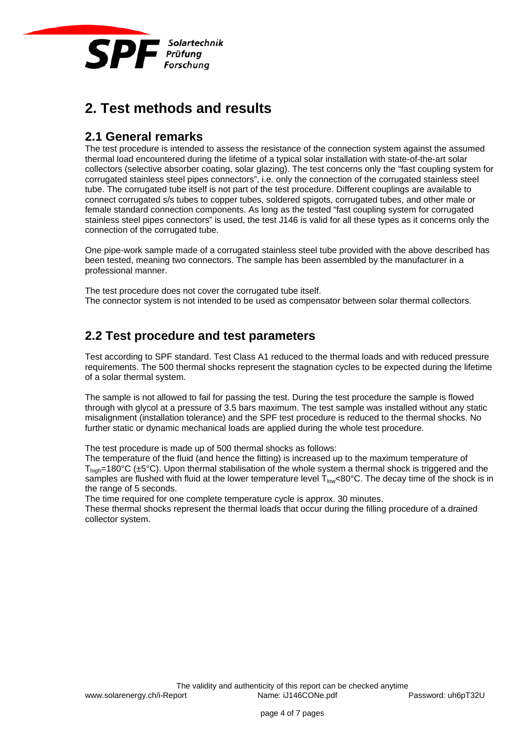

# **2. Test methods and results**

#### **2.1 General remarks**

The test procedure is intended to assess the resistance of the connection system against the assumed thermal load encountered during the lifetime of a typical solar installation with state-of-the-art solar collectors (selective absorber coating, solar glazing). The test concerns only the "fast coupling system for corrugated stainless steel pipes connectors", i.e. only the connection of the corrugated stainless steel tube. The corrugated tube itself is not part of the test procedure. Different couplings are available to connect corrugated s/s tubes to copper tubes, soldered spigots, corrugated tubes, and other male or female standard connection components. As long as the tested "fast coupling system for corrugated stainless steel pipes connectors" is used, the test J146 is valid for all these types as it concerns only the connection of the corrugated tube.

One pipe-work sample made of a corrugated stainless steel tube provided with the above described has been tested, meaning two connectors. The sample has been assembled by the manufacturer in a professional manner.

The test procedure does not cover the corrugated tube itself. The connector system is not intended to be used as compensator between solar thermal collectors.

#### **2.2 Test procedure and test parameters**

Test according to SPF standard. Test Class A1 reduced to the thermal loads and with reduced pressure requirements. The 500 thermal shocks represent the stagnation cycles to be expected during the lifetime of a solar thermal system.

The sample is not allowed to fail for passing the test. During the test procedure the sample is flowed through with glycol at a pressure of 3.5 bars maximum. The test sample was installed without any static misalignment (installation tolerance) and the SPF test procedure is reduced to the thermal shocks. No further static or dynamic mechanical loads are applied during the whole test procedure.

The test procedure is made up of 500 thermal shocks as follows:

The temperature of the fluid (and hence the fitting) is increased up to the maximum temperature of  $T_{\text{hich}}$ =180°C (±5°C). Upon thermal stabilisation of the whole system a thermal shock is triggered and the samples are flushed with fluid at the lower temperature level  $T_{low}$ <80°C. The decay time of the shock is in the range of 5 seconds.

The time required for one complete temperature cycle is approx. 30 minutes.

These thermal shocks represent the thermal loads that occur during the filling procedure of a drained collector system.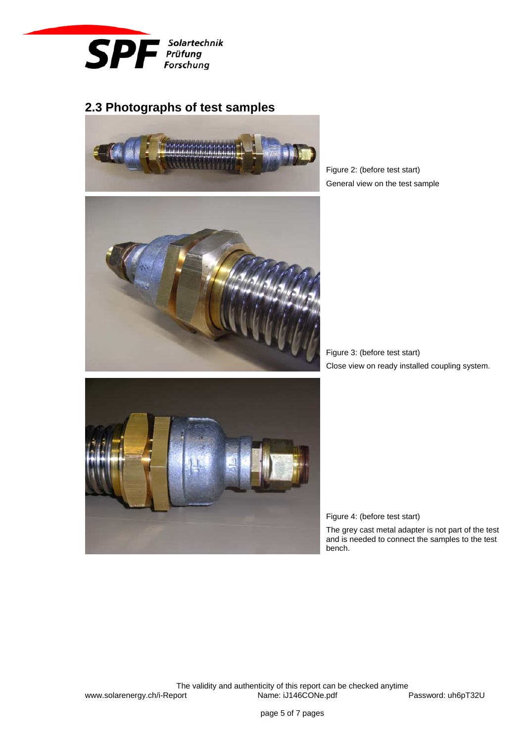

## **2.3 Photographs of test samples**





Figure 2: (before test start) General view on the test sample

Figure 3: (before test start) Close view on ready installed coupling system.



Figure 4: (before test start)

The grey cast metal adapter is not part of the test and is needed to connect the samples to the test bench.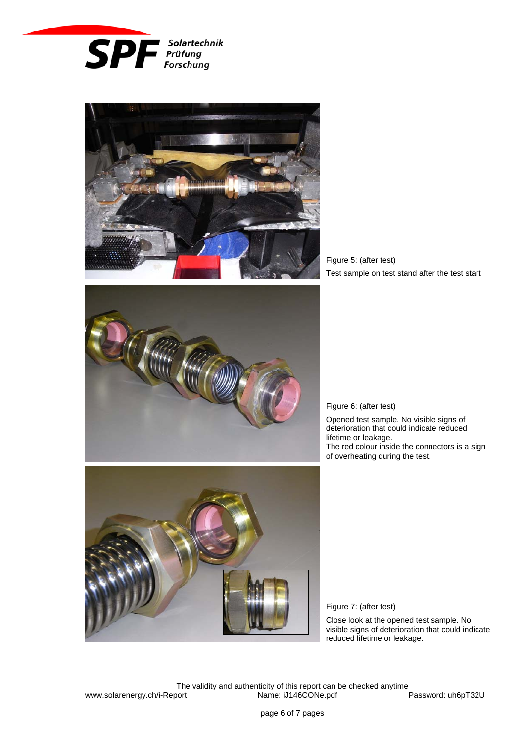



Figure 5: (after test) Test sample on test stand after the test start



Figure 6: (after test)

Opened test sample. No visible signs of deterioration that could indicate reduced lifetime or leakage. The red colour inside the connectors is a sign of overheating during the test.



Figure 7: (after test)

Close look at the opened test sample. No visible signs of deterioration that could indicate reduced lifetime or leakage.

The validity and authenticity of this report can be checked anytime<br>
Description or the CONe.pdf cont Password: uh6pT32U www.solarenergy.ch/i-Report